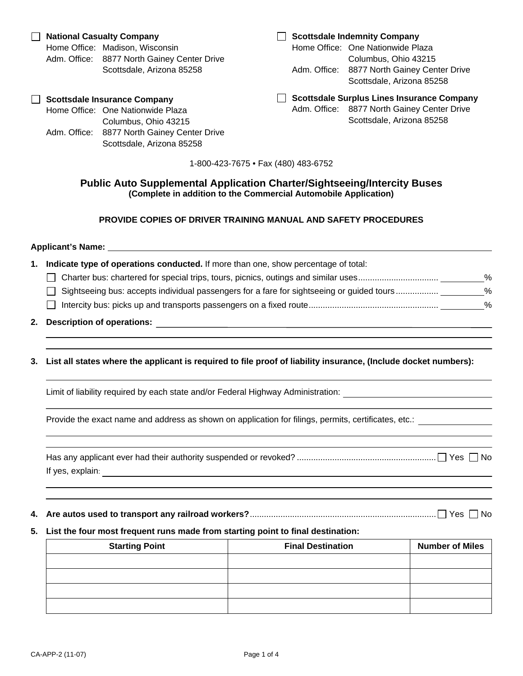# **Public Auto Supplemental Application Charter/Sightseeing/Intercity Buses (Complete in addition to the Commercial Automobile Application)**

### **PROVIDE COPIES OF DRIVER TRAINING MANUAL AND SAFETY PROCEDURES**

|    | Applicant's Name: <u>experience</u> and the series of the series of the series of the series of the series of the series of the series of the series of the series of the series of the series of the series of the series of the s |
|----|-------------------------------------------------------------------------------------------------------------------------------------------------------------------------------------------------------------------------------------|
| 1. | Indicate type of operations conducted. If more than one, show percentage of total:                                                                                                                                                  |
| 2. |                                                                                                                                                                                                                                     |
| 3. | List all states where the applicant is required to file proof of liability insurance, (Include docket numbers):                                                                                                                     |
|    | Limit of liability required by each state and/or Federal Highway Administration: _____________________________                                                                                                                      |
|    | Provide the exact name and address as shown on application for filings, permits, certificates, etc.: _________                                                                                                                      |
|    |                                                                                                                                                                                                                                     |
|    | 5. List the four most frequent runs made from starting point to final destination:                                                                                                                                                  |

| <b>Starting Point</b> | <b>Final Destination</b> | <b>Number of Miles</b> |
|-----------------------|--------------------------|------------------------|
|                       |                          |                        |
|                       |                          |                        |
|                       |                          |                        |
|                       |                          |                        |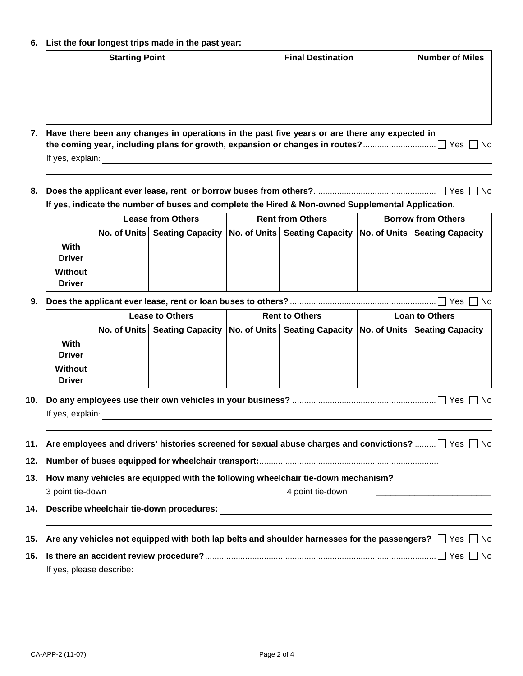#### **6. List the four longest trips made in the past year:**

| <b>Starting Point</b> | <b>Final Destination</b> | <b>Number of Miles</b> |
|-----------------------|--------------------------|------------------------|
|                       |                          |                        |
|                       |                          |                        |
|                       |                          |                        |
|                       |                          |                        |

| 7. Have there been any changes in operations in the past five years or are there any expected in |
|--------------------------------------------------------------------------------------------------|
|                                                                                                  |
| If yes, explain:                                                                                 |

**8. Does the applicant ever lease, rent or borrow buses from others?**.................................................... Yes No **If yes, indicate the number of buses and complete the Hired & Non-owned Supplemental Application.** 

|                                 | <b>Lease from Others</b> |  | <b>Rent from Others</b> |                                                                                                     | <b>Borrow from Others</b> |  |
|---------------------------------|--------------------------|--|-------------------------|-----------------------------------------------------------------------------------------------------|---------------------------|--|
|                                 |                          |  |                         | No. of Units   Seating Capacity   No. of Units   Seating Capacity   No. of Units   Seating Capacity |                           |  |
| With<br><b>Driver</b>           |                          |  |                         |                                                                                                     |                           |  |
| <b>Without</b><br><b>Driver</b> |                          |  |                         |                                                                                                     |                           |  |

**9. Does the applicant ever lease, rent or loan buses to others?** .............................................................. Yes No

|                              | <b>Lease to Others</b> |                                                                                               | <b>Rent to Others</b> |  | <b>Loan to Others</b> |  |
|------------------------------|------------------------|-----------------------------------------------------------------------------------------------|-----------------------|--|-----------------------|--|
|                              |                        | No. of Units Seating Capacity No. of Units Seating Capacity No. of Units Seating Capacity No. |                       |  |                       |  |
| <b>With</b><br><b>Driver</b> |                        |                                                                                               |                       |  |                       |  |
| Without<br><b>Driver</b>     |                        |                                                                                               |                       |  |                       |  |

**10. Do any employees use their own vehicles in your business?** ............................................................. Yes No If yes, explain:

**11. Are employees and drivers' histories screened for sexual abuse charges and convictions?** .........  $\Box$  Yes  $\Box$  No

**12. Number of buses equipped for wheelchair transport:**............................................................................

- **13. How many vehicles are equipped with the following wheelchair tie-down mechanism?** 
	- 3 point tie-down and the set of the set of the set of the set of the set of the set of the set of the set of the set of the set of the set of the set of the set of the set of the set of the set of the set of the set of the

**14. Describe wheelchair tie-down procedures:**

| 15. Are any vehicles not equipped with both lap belts and shoulder harnesses for the passengers? $\Box$ Yes $\Box$ No |  |  |
|-----------------------------------------------------------------------------------------------------------------------|--|--|
|                                                                                                                       |  |  |

If yes, please describe: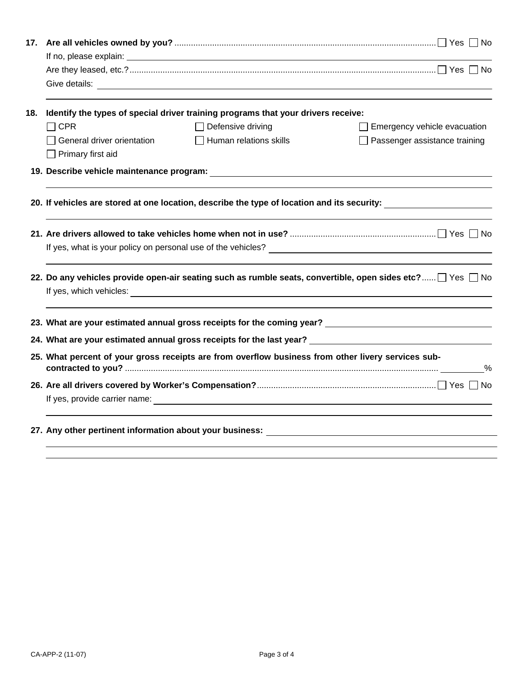| 17. |                                                                                                           |                                                                                   |                                                                                                               |  |  |  |
|-----|-----------------------------------------------------------------------------------------------------------|-----------------------------------------------------------------------------------|---------------------------------------------------------------------------------------------------------------|--|--|--|
|     |                                                                                                           |                                                                                   |                                                                                                               |  |  |  |
|     |                                                                                                           |                                                                                   |                                                                                                               |  |  |  |
|     |                                                                                                           |                                                                                   |                                                                                                               |  |  |  |
| 18. |                                                                                                           | Identify the types of special driver training programs that your drivers receive: |                                                                                                               |  |  |  |
|     | $\Box$ CPR                                                                                                | $\Box$ Defensive driving                                                          | $\Box$ Emergency vehicle evacuation                                                                           |  |  |  |
|     | General driver orientation<br>$\Box$ Primary first aid                                                    | $\Box$ Human relations skills                                                     | $\Box$ Passenger assistance training                                                                          |  |  |  |
|     |                                                                                                           |                                                                                   |                                                                                                               |  |  |  |
|     |                                                                                                           |                                                                                   | 20. If vehicles are stored at one location, describe the type of location and its security: _________________ |  |  |  |
|     |                                                                                                           |                                                                                   |                                                                                                               |  |  |  |
|     |                                                                                                           |                                                                                   |                                                                                                               |  |  |  |
|     | 22. Do any vehicles provide open-air seating such as rumble seats, convertible, open sides etc?□ Yes □ No |                                                                                   |                                                                                                               |  |  |  |
|     |                                                                                                           |                                                                                   |                                                                                                               |  |  |  |
|     |                                                                                                           |                                                                                   | 24. What are your estimated annual gross receipts for the last year? _______________________________          |  |  |  |
|     | 25. What percent of your gross receipts are from overflow business from other livery services sub-        |                                                                                   |                                                                                                               |  |  |  |
|     |                                                                                                           |                                                                                   |                                                                                                               |  |  |  |
|     |                                                                                                           |                                                                                   |                                                                                                               |  |  |  |
|     |                                                                                                           |                                                                                   |                                                                                                               |  |  |  |